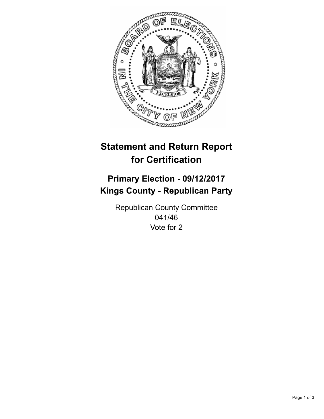

## **Statement and Return Report for Certification**

## **Primary Election - 09/12/2017 Kings County - Republican Party**

Republican County Committee 041/46 Vote for 2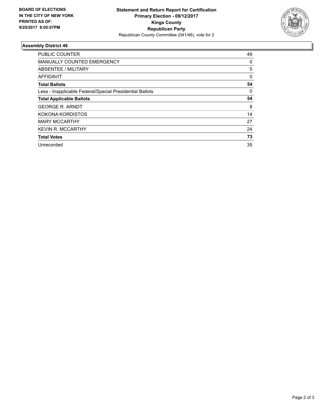

## **Assembly District 46**

| <b>PUBLIC COUNTER</b>                                    | 49       |
|----------------------------------------------------------|----------|
| MANUALLY COUNTED EMERGENCY                               | 0        |
| ABSENTEE / MILITARY                                      | 5        |
| AFFIDAVIT                                                | $\Omega$ |
| <b>Total Ballots</b>                                     | 54       |
| Less - Inapplicable Federal/Special Presidential Ballots | 0        |
| <b>Total Applicable Ballots</b>                          | 54       |
| <b>GEORGE R. ARNDT</b>                                   | 8        |
| KOKONA KORDISTOS                                         | 14       |
| <b>MARY MCCARTHY</b>                                     | 27       |
| <b>KEVIN R. MCCARTHY</b>                                 | 24       |
| <b>Total Votes</b>                                       | 73       |
| Unrecorded                                               | 35       |